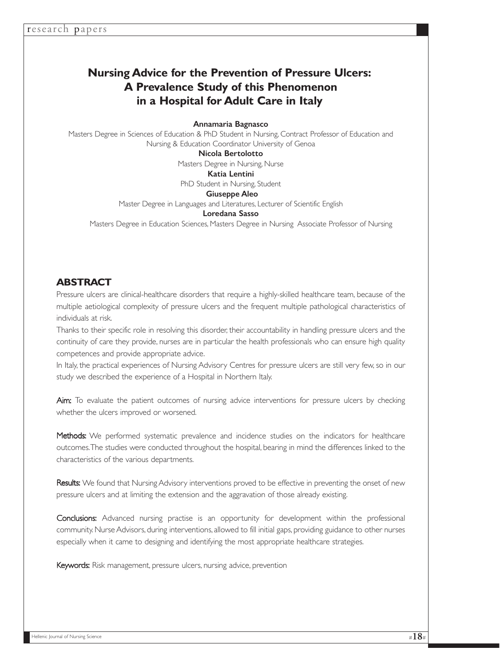# **Nursing Advice for the Prevention of Pressure Ulcers: A Prevalence Study of this Phenomenon in a Hospital for Adult Care in Italy**

## Annamaria Bagnasco

Masters Degree in Sciences of Education & PhD Student in Nursing, Contract Professor of Education and Nursing & Education Coordinator University of Genoa

#### Nicola Bertolotto

Masters Degree in Nursing, Nurse

## Katia Lentini

PhD Student in Nursing, Student

### Giuseppe Aleo Master Degree in Languages and Literatures, Lecturer of Scientific English

### Loredana Sasso

Masters Degree in Education Sciences, Masters Degree in Nursing Associate Professor of Nursing

## **ABSTRACT**

Pressure ulcers are clinical-healthcare disorders that require a highly-skilled healthcare team, because of the multiple aetiological complexity of pressure ulcers and the frequent multiple pathological characteristics of individuals at risk.

Thanks to their specific role in resolving this disorder, their accountability in handling pressure ulcers and the continuity of care they provide, nurses are in particular the health professionals who can ensure high quality competences and provide appropriate advice.

In Italy, the practical experiences of Nursing Advisory Centres for pressure ulcers are still very few, so in our study we described the experience of a Hospital in Northern Italy.

Aim: To evaluate the patient outcomes of nursing advice interventions for pressure ulcers by checking whether the ulcers improved or worsened.

Methods: We performed systematic prevalence and incidence studies on the indicators for healthcare outcomes.The studies were conducted throughout the hospital, bearing in mind the differences linked to the characteristics of the various departments.

Results: We found that Nursing Advisory interventions proved to be effective in preventing the onset of new pressure ulcers and at limiting the extension and the aggravation of those already existing.

Conclusions: Advanced nursing practise is an opportunity for development within the professional community. Nurse Advisors, during interventions, allowed to fill initial gaps, providing guidance to other nurses especially when it came to designing and identifying the most appropriate healthcare strategies.

Keywords: Risk management, pressure ulcers, nursing advice, prevention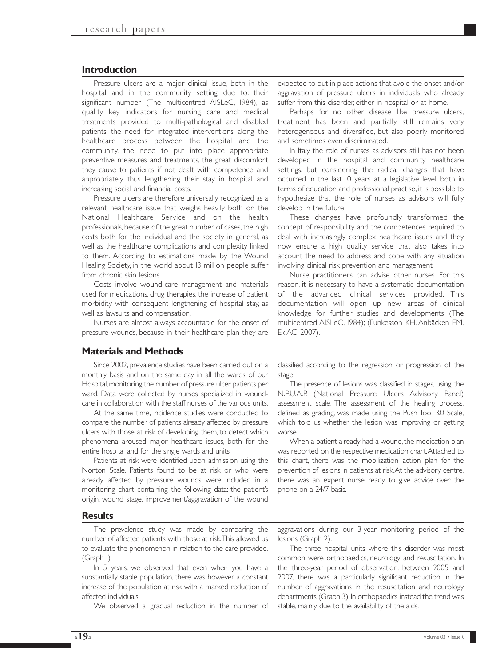## **Introduction**

Pressure ulcers are a major clinical issue, both in the hospital and in the community setting due to: their significant number (The multicentred AISLeC, 1984), as quality key indicators for nursing care and medical treatments provided to multi-pathological and disabled patients, the need for integrated interventions along the healthcare process between the hospital and the community, the need to put into place appropriate preventive measures and treatments, the great discomfort they cause to patients if not dealt with competence and appropriately, thus lengthening their stay in hospital and increasing social and financial costs.

Pressure ulcers are therefore universally recognized as a relevant healthcare issue that weighs heavily both on the National Healthcare Service and on the health professionals, because of the great number of cases, the high costs both for the individual and the society in general, as well as the healthcare complications and complexity linked to them. According to estimations made by the Wound Healing Society, in the world about 13 million people suffer from chronic skin lesions.

Costs involve wound-care management and materials used for medications, drug therapies, the increase of patient morbidity with consequent lengthening of hospital stay, as well as lawsuits and compensation.

Nurses are almost always accountable for the onset of pressure wounds, because in their healthcare plan they are

expected to put in place actions that avoid the onset and/or aggravation of pressure ulcers in individuals who already suffer from this disorder, either in hospital or at home.

Perhaps for no other disease like pressure ulcers, treatment has been and partially still remains very heterogeneous and diversified, but also poorly monitored and sometimes even discriminated.

In Italy, the role of nurses as advisors still has not been developed in the hospital and community healthcare settings, but considering the radical changes that have occurred in the last 10 years at a legislative level, both in terms of education and professional practise, it is possible to hypothesize that the role of nurses as advisors will fully develop in the future.

These changes have profoundly transformed the concept of responsibility and the competences required to deal with increasingly complex healthcare issues and they now ensure a high quality service that also takes into account the need to address and cope with any situation involving clinical risk prevention and management.

Nurse practitioners can advise other nurses. For this reason, it is necessary to have a systematic documentation of the advanced clinical services provided. This documentation will open up new areas of clinical knowledge for further studies and developments (The multicentred AISLeC, 1984); (Funkesson KH, Anbäcken EM, Ek AC, 2007).

## **Materials and Methods**

Since 2002, prevalence studies have been carried out on a monthly basis and on the same day in all the wards of our Hospital,monitoring the number of pressure ulcer patients per ward. Data were collected by nurses specialized in woundcare in collaboration with the staff nurses of the various units.

At the same time, incidence studies were conducted to compare the number of patients already affected by pressure ulcers with those at risk of developing them, to detect which phenomena aroused major healthcare issues, both for the entire hospital and for the single wards and units.

Patients at risk were identified upon admission using the Norton Scale. Patients found to be at risk or who were already affected by pressure wounds were included in a monitoring chart containing the following data: the patient's origin, wound stage, improvement/aggravation of the wound

classified according to the regression or progression of the stage.

The presence of lesions was classified in stages, using the N.P.U.A.P. (National Pressure Ulcers Advisory Panel) assessment scale. The assessment of the healing process, defined as grading, was made using the Push Tool 3.0 Scale, which told us whether the lesion was improving or getting worse.

When a patient already had a wound, the medication plan was reported on the respective medication chart.Attached to this chart, there was the mobilization action plan for the prevention of lesions in patients at risk.At the advisory centre, there was an expert nurse ready to give advice over the phone on a 24/7 basis.

## **Results**

The prevalence study was made by comparing the number of affected patients with those at risk.This allowed us to evaluate the phenomenon in relation to the care provided. (Graph 1)

In 5 years, we observed that even when you have a substantially stable population, there was however a constant increase of the population at risk with a marked reduction of affected individuals.

We observed a gradual reduction in the number of

aggravations during our 3-year monitoring period of the lesions (Graph 2).

The three hospital units where this disorder was most common were orthopaedics, neurology and resuscitation. In the three-year period of observation, between 2005 and 2007, there was a particularly significant reduction in the number of aggravations in the resuscitation and neurology departments (Graph 3).In orthopaedics instead the trend was stable, mainly due to the availability of the aids.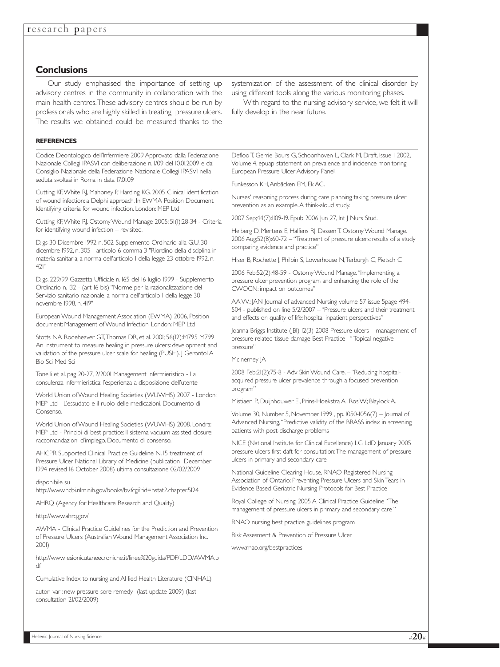## **Conclusions**

Our study emphasised the importance of setting up advisory centres in the community in collaboration with the main health centres.These advisory centres should be run by professionals who are highly skilled in treating pressure ulcers. The results we obtained could be measured thanks to the

### **REFERENCES**

Codice Deontologico dell'Infermiere 2009 Approvato dalla Federazione Nazionale Collegi IPASVI con deliberazione n. 1/09 del 10.01.2009 e dal Consiglio Nazionale della Federazione Nazionale Collegi IPASVI nella seduta svoltasi in Roma in data 17.01.09

Cutting KF,White RJ, Mahoney P, Harding KG. 2005 Clinical identification of wound infection: a Delphi approach. In EWMA Position Document. Identifying criteria for wound infection. London: MEP Ltd

Cutting KF,White RJ. Ostomy Wound Manage 2005; 51(1):28-34 - Criteria for identifying wound infection – revisited.

D.lgs 30 Dicembre 1992 n. 502 Supplemento Ordinario alla G.U. 30 dicembre 1992, n. 305 - articolo 6 comma 3 "Riordino della disciplina in materia sanitaria, a norma dell'articolo 1 della legge 23 ottobre 1992, n.  $421'$ 

D.lgs. 229/99 Gazzetta Ufficiale n. 165 del 16 luglio 1999 - Supplemento Ordinario n. 132 - (art 16 bis) "Norme per la razionalizzazione del Servizio sanitario nazionale, a norma dell'articolo 1 della legge 30 novembre 1998, n. 419"

European Wound Management Association (EWMA) 2006, Position document: Management of Wound Infection. London: MEP Ltd

Stotts NA Rodeheaver GT,Thomas DR, et al. 2001; 56(12):M795 M799 An instrument to measure healing in pressure ulcers: development and validation of the pressure ulcer scale for healing (PUSH). J Gerontol A Bio Sci Med Sci

Tonelli et al. pag 20-27, 2/2001 Management infermieristico - La consulenza infermieristica: l'esperienza a disposizione dell'utente

World Union of Wound Healing Societies (WUWHS) 2007 - London: MEP Ltd - L'essudato e il ruolo delle medicazioni. Documento di Consenso.

World Union of Wound Healing Societies (WUWHS) 2008. Londra: MEP Ltd - Principi di best practice: Il sistema vacuum assisted closure: raccomandazioni d'impiego. Documento di consenso.

AHCPR Supported Clinical Practice Guideline N. 15 treatment of Pressure Ulcer National Library of Medicine (publication December 1994 revised 16 October 2008) ultima consultazione 02/02/2009

#### disponibile su

http://www.ncbi.nlm.nih.gov/books/bv.fcgi?rid=hstat2.chapter.5124

AHRQ (Agency for Healthcare Research and Quality)

#### http://www.ahrq.gov/

AWMA - Clinical Practice Guidelines for the Prediction and Prevention of Pressure Ulcers (Australian Wound Management Association Inc. 2001)

http://www.lesionicutaneecroniche.it/linee%20guida/PDF/LDD/AWMA.p df

Cumulative Index to nursing and Al lied Health Literature (CINHAL)

autori vari: new pressure sore remedy (last update 2009) (last consultation 21/02/2009)

systemization of the assessment of the clinical disorder by using different tools along the various monitoring phases.

With regard to the nursing advisory service, we felt it will fully develop in the near future.

Defloo T, Gerrie Bours G, Schoonhoven L, Clark M, Draft, Issue 1 2002, Volume 4, epuap statement on prevalence and incidence monitoring, European Pressure Ulcer Advisory Panel,

Funkesson KH,Anbäcken EM, Ek AC.

Nurses' reasoning process during care planning taking pressure ulcer prevention as an example.A think-aloud study.

2007 Sep;44(7):1109-19. Epub 2006 Jun 27, Int J Nurs Stud.

Helberg D, Mertens E, Halfens RJ, Dassen T. Ostomy Wound Manage. 2006 Aug;52(8):60-72 – "Treatment of pressure ulcers: results of a study comparing evidence and practice"

Hiser B, Rochette J, Philbin S, Lowerhouse N,Terburgh C, Pietsch C

2006 Feb;52(2):48-59 - Ostomy Wound Manage."Implementing a pressure ulcer prevention program and enhancing the role of the CWOCN: impact on outcomes"

AA.VV.: JAN Journal of advanced Nursing volume 57 issue 5page 494- 504 - published on line 5/2/2007 – "Pressure ulcers and their treatment and effects on quality of life: hospital inpatient perspectives"

Joanna Briggs Institute (JBI) 12(3) 2008 Pressure ulcers – management of pressure related tissue damage Best Practice– " Topical negative pressure"

#### McInerney JA

2008 Feb;21(2):75-8 - Adv Skin Wound Care. – "Reducing hospitalacquired pressure ulcer prevalence through a focused prevention program"

Mistiaen P., Duijnhouwer E., Prins-Hoekstra A., Ros W.; Blaylock A.

Volume 30, Number 5, November 1999 , pp. 1050-1056(7) – Journal of Advanced Nursing,"Predictive validity of the BRASS index in screening patients with post-discharge problems

NICE (National Institute for Clinical Excellence) LG LdD January 2005 pressure ulcers first daft for consultation:The management of pressure ulcers in primary and secondary care

National Guideline Clearing House, RNAO Registered Nursing Association of Ontario: Preventing Pressure Ulcers and Skin Tears in Evidence Based Geriatric Nursing Protocols for Best Practice

Royal College of Nursing, 2005 A Clinical Practice Guideline "The management of pressure ulcers in primary and secondary care "

RNAO nursing best practice guidelines program

Risk Assesment & Prevention of Pressure Ulcer

www.rnao.org/bestpractices